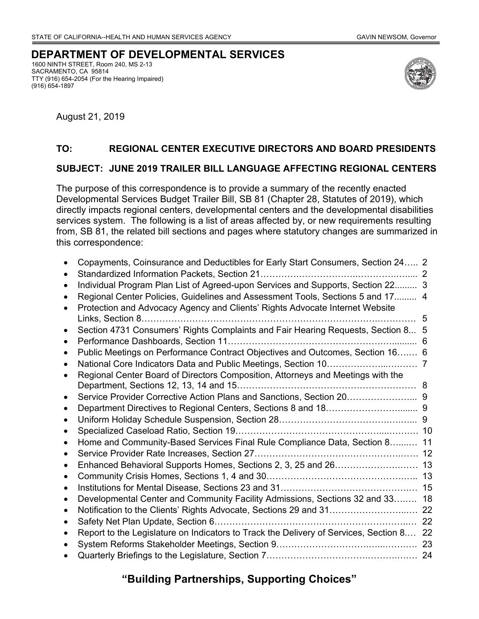## **DEPARTMENT OF DEVELOPMENTAL SERVICES**

1600 NINTH STREET, Room 240, MS 2-13 SACRAMENTO, CA 95814 TTY (916) 654-2054 (For the Hearing Impaired) (916) 654-1897



August 21, 2019

#### **TO: REGIONAL CENTER EXECUTIVE DIRECTORS AND BOARD PRESIDENTS**

#### **SUBJECT: JUNE 2019 TRAILER BILL LANGUAGE AFFECTING REGIONAL CENTERS**

The purpose of this correspondence is to provide a summary of the recently enacted Developmental Services Budget Trailer Bill, SB 81 (Chapter 28, Statutes of 2019), which directly impacts regional centers, developmental centers and the developmental disabilities services system. The following is a list of areas affected by, or new requirements resulting from, SB 81, the related bill sections and pages where statutory changes are summarized in this correspondence:

| $\bullet$ | Copayments, Coinsurance and Deductibles for Early Start Consumers, Section 24 2<br>Standardized Information Packets, Section 21.<br>Individual Program Plan List of Agreed-upon Services and Supports, Section 22 3<br>Regional Center Policies, Guidelines and Assessment Tools, Sections 5 and 17 4<br>Protection and Advocacy Agency and Clients' Rights Advocate Internet Website<br>Links, Section 8 | 5  |
|-----------|-----------------------------------------------------------------------------------------------------------------------------------------------------------------------------------------------------------------------------------------------------------------------------------------------------------------------------------------------------------------------------------------------------------|----|
|           | Section 4731 Consumers' Rights Complaints and Fair Hearing Requests, Section 8 5                                                                                                                                                                                                                                                                                                                          |    |
|           |                                                                                                                                                                                                                                                                                                                                                                                                           | 6  |
| $\bullet$ | Public Meetings on Performance Contract Objectives and Outcomes, Section 16 6                                                                                                                                                                                                                                                                                                                             |    |
| $\bullet$ |                                                                                                                                                                                                                                                                                                                                                                                                           |    |
|           | Regional Center Board of Directors Composition, Attorneys and Meetings with the                                                                                                                                                                                                                                                                                                                           |    |
| $\bullet$ | Service Provider Corrective Action Plans and Sanctions, Section 20 9                                                                                                                                                                                                                                                                                                                                      |    |
|           |                                                                                                                                                                                                                                                                                                                                                                                                           |    |
|           |                                                                                                                                                                                                                                                                                                                                                                                                           |    |
|           |                                                                                                                                                                                                                                                                                                                                                                                                           |    |
| $\bullet$ | Home and Community-Based Services Final Rule Compliance Data, Section 8                                                                                                                                                                                                                                                                                                                                   | 11 |
|           |                                                                                                                                                                                                                                                                                                                                                                                                           |    |
|           |                                                                                                                                                                                                                                                                                                                                                                                                           |    |
| $\bullet$ |                                                                                                                                                                                                                                                                                                                                                                                                           |    |
| $\bullet$ |                                                                                                                                                                                                                                                                                                                                                                                                           | 15 |
|           | Developmental Center and Community Facility Admissions, Sections 32 and 33                                                                                                                                                                                                                                                                                                                                | 18 |
|           |                                                                                                                                                                                                                                                                                                                                                                                                           |    |
| $\bullet$ |                                                                                                                                                                                                                                                                                                                                                                                                           | 22 |
|           | Report to the Legislature on Indicators to Track the Delivery of Services, Section 8 22                                                                                                                                                                                                                                                                                                                   |    |
|           |                                                                                                                                                                                                                                                                                                                                                                                                           |    |
|           |                                                                                                                                                                                                                                                                                                                                                                                                           |    |

## **"Building Partnerships, Supporting Choices"**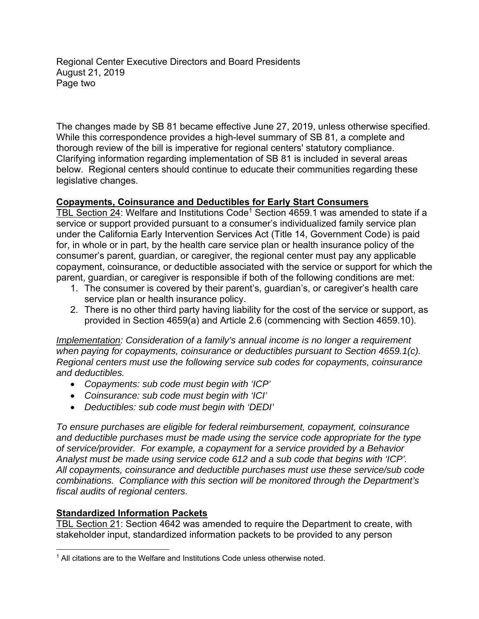Regional Center Executive Directors and Board Presidents August 21, 2019 Page two

The changes made by SB 81 became effective June 27, 2019, unless otherwise specified. While this correspondence provides a high-level summary of SB 81, a complete and thorough review of the bill is imperative for regional centers' statutory compliance. Clarifying information regarding implementation of SB 81 is included in several areas below. Regional centers should continue to educate their communities regarding these legislative changes.

## **Copayments, Coinsurance and Deductibles for Early Start Consumers**

TBL Section 24: Welfare and Institutions Code<sup>1</sup> Section 4659.1 was amended to state if a service or support provided pursuant to a consumer's individualized family service plan under the California Early Intervention Services Act (Title 14, Government Code) is paid for, in whole or in part, by the health care service plan or health insurance policy of the consumer's parent, guardian, or caregiver, the regional center must pay any applicable copayment, coinsurance, or deductible associated with the service or support for which the parent, guardian, or caregiver is responsible if both of the following conditions are met:

- 1. The consumer is covered by their parent's, guardian's, or caregiver's health care service plan or health insurance policy.
- 2. There is no other third party having liability for the cost of the service or support, as provided in Section 4659(a) and Article 2.6 (commencing with Section 4659.10).

*Implementation: Consideration of a family's annual income is no longer a requirement when paying for copayments, coinsurance or deductibles pursuant to Section 4659.1(c). Regional centers must use the following service sub codes for copayments, coinsurance and deductibles.* 

- *Copayments: sub code must begin with 'ICP'*
- *Coinsurance: sub code must begin with 'ICI'*
- *Deductibles: sub code must begin with 'DEDI'*

Analyst must be made using service code 612 and a sub code that begins with 'ICP'. *To ensure purchases are eligible for federal reimbursement, copayment, coinsurance and deductible purchases must be made using the service code appropriate for the type of service/provider. For example, a copayment for a service provided by a Behavior Analyst must be made using service code 612 and a sub code that begins with 'ICP'. All copayments, coinsurance and deductible purchases must use these service/sub code combinations. Compliance with this section will be monitored through the Department's fiscal audits of regional centers.* 

## **Standardized Information Packets**

TBL Section 21: Section 4642 was amended to require the Department to create, with stakeholder input, standardized information packets to be provided to any person

 $\overline{a}$ <sup>1</sup> All citations are to the Welfare and Institutions Code unless otherwise noted.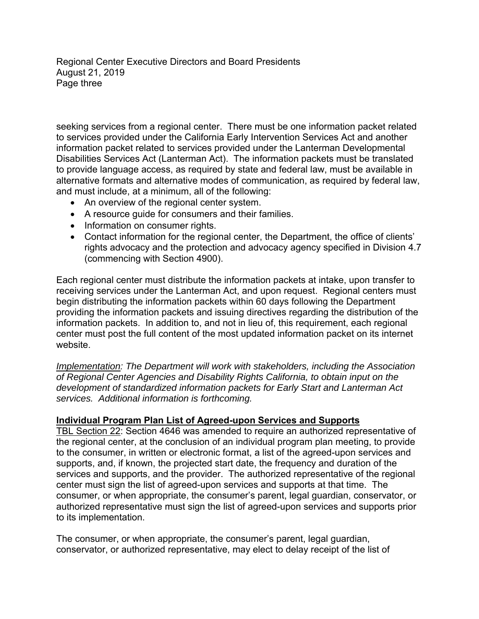Regional Center Executive Directors and Board Presidents August 21, 2019 Page three

seeking services from a regional center. There must be one information packet related to services provided under the California Early Intervention Services Act and another information packet related to services provided under the Lanterman Developmental Disabilities Services Act (Lanterman Act). The information packets must be translated to provide language access, as required by state and federal law, must be available in alternative formats and alternative modes of communication, as required by federal law, and must include, at a minimum, all of the following:

- An overview of the regional center system.
- A resource guide for consumers and their families.
- Information on consumer rights.
- Contact information for the regional center, the Department, the office of clients' rights advocacy and the protection and advocacy agency specified in Division 4.7 (commencing with Section 4900).

Each regional center must distribute the information packets at intake, upon transfer to receiving services under the Lanterman Act, and upon request. Regional centers must begin distributing the information packets within 60 days following the Department providing the information packets and issuing directives regarding the distribution of the information packets. In addition to, and not in lieu of, this requirement, each regional center must post the full content of the most updated information packet on its internet website.

*Implementation: The Department will work with stakeholders, including the Association of Regional Center Agencies and Disability Rights California, to obtain input on the development of standardized information packets for Early Start and Lanterman Act services. Additional information is forthcoming.* 

#### **Individual Program Plan List of Agreed-upon Services and Supports**

TBL Section 22: Section 4646 was amended to require an authorized representative of the regional center, at the conclusion of an individual program plan meeting, to provide to the consumer, in written or electronic format, a list of the agreed-upon services and supports, and, if known, the projected start date, the frequency and duration of the services and supports, and the provider. The authorized representative of the regional center must sign the list of agreed-upon services and supports at that time. The consumer, or when appropriate, the consumer's parent, legal guardian, conservator, or authorized representative must sign the list of agreed-upon services and supports prior to its implementation.

The consumer, or when appropriate, the consumer's parent, legal guardian, conservator, or authorized representative, may elect to delay receipt of the list of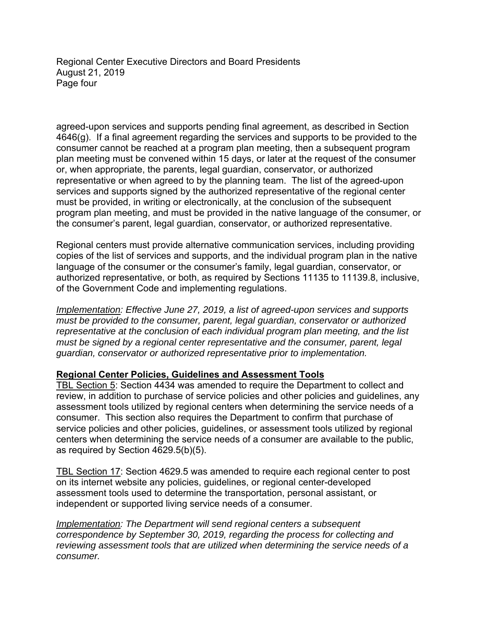Regional Center Executive Directors and Board Presidents August 21, 2019 Page four

agreed-upon services and supports pending final agreement, as described in Section 4646(g). If a final agreement regarding the services and supports to be provided to the consumer cannot be reached at a program plan meeting, then a subsequent program plan meeting must be convened within 15 days, or later at the request of the consumer or, when appropriate, the parents, legal guardian, conservator, or authorized representative or when agreed to by the planning team. The list of the agreed-upon services and supports signed by the authorized representative of the regional center must be provided, in writing or electronically, at the conclusion of the subsequent program plan meeting, and must be provided in the native language of the consumer, or the consumer's parent, legal guardian, conservator, or authorized representative.

Regional centers must provide alternative communication services, including providing copies of the list of services and supports, and the individual program plan in the native language of the consumer or the consumer's family, legal guardian, conservator, or authorized representative, or both, as required by Sections 11135 to 11139.8, inclusive, of the Government Code and implementing regulations.

*Implementation: Effective June 27, 2019, a list of agreed-upon services and supports must be provided to the consumer, parent, legal guardian, conservator or authorized representative at the conclusion of each individual program plan meeting, and the list must be signed by a regional center representative and the consumer, parent, legal guardian, conservator or authorized representative prior to implementation.* 

#### **Regional Center Policies, Guidelines and Assessment Tools**

TBL Section 5: Section 4434 was amended to require the Department to collect and review, in addition to purchase of service policies and other policies and guidelines, any assessment tools utilized by regional centers when determining the service needs of a consumer. This section also requires the Department to confirm that purchase of service policies and other policies, guidelines, or assessment tools utilized by regional centers when determining the service needs of a consumer are available to the public, as required by Section 4629.5(b)(5).

TBL Section 17: Section 4629.5 was amended to require each regional center to post on its internet website any policies, guidelines, or regional center-developed assessment tools used to determine the transportation, personal assistant, or independent or supported living service needs of a consumer.

**Implementation: The Department will send regional centers a subsequent** *correspondence by September 30, 2019, regarding the process for collecting and reviewing assessment tools that are utilized when determining the service needs of a consumer.*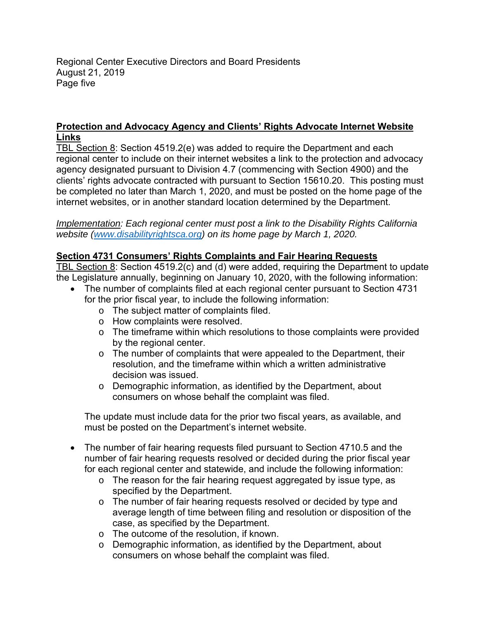Regional Center Executive Directors and Board Presidents August 21, 2019 Page five

## **Protection and Advocacy Agency and Clients' Rights Advocate Internet Website Links**

TBL Section 8: Section 4519.2(e) was added to require the Department and each regional center to include on their internet websites a link to the protection and advocacy agency designated pursuant to Division 4.7 (commencing with Section 4900) and the clients' rights advocate contracted with pursuant to Section 15610.20. This posting must be completed no later than March 1, 2020, and must be posted on the home page of the internet websites, or in another standard location determined by the Department.

*Implementation: Each regional center must post a link to the Disability Rights California website (www.disabilityrightsca.org) on its home page by March 1, 2020.* 

### **Section 4731 Consumers' Rights Complaints and Fair Hearing Requests**

TBL Section 8: Section 4519.2(c) and (d) were added, requiring the Department to update the Legislature annually, beginning on January 10, 2020, with the following information:

- The number of complaints filed at each regional center pursuant to Section 4731 for the prior fiscal year, to include the following information:
	- o The subject matter of complaints filed.
	- o How complaints were resolved.
	- $\circ$  The timeframe within which resolutions to those complaints were provided by the regional center.
	- $\circ$  The number of complaints that were appealed to the Department, their resolution, and the timeframe within which a written administrative decision was issued.
	- $\circ$  Demographic information, as identified by the Department, about consumers on whose behalf the complaint was filed.

The update must include data for the prior two fiscal years, as available, and must be posted on the Department's internet website.

- The number of fair hearing requests filed pursuant to Section 4710.5 and the number of fair hearing requests resolved or decided during the prior fiscal year for each regional center and statewide, and include the following information:
	- $\circ$  The reason for the fair hearing request aggregated by issue type, as specified by the Department.
	- $\circ$  The number of fair hearing requests resolved or decided by type and average length of time between filing and resolution or disposition of the case, as specified by the Department.
	- o The outcome of the resolution, if known.
	- o Demographic information, as identified by the Department, about consumers on whose behalf the complaint was filed.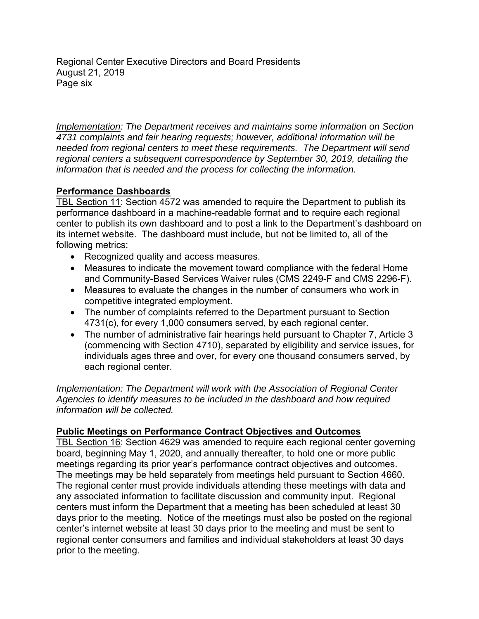Regional Center Executive Directors and Board Presidents August 21, 2019 Page six

*Implementation: The Department receives and maintains some information on Section 4731 complaints and fair hearing requests; however, additional information will be needed from regional centers to meet these requirements. The Department will send regional centers a subsequent correspondence by September 30, 2019, detailing the information that is needed and the process for collecting the information.* 

## **Performance Dashboards**

TBL Section 11: Section 4572 was amended to require the Department to publish its performance dashboard in a machine-readable format and to require each regional center to publish its own dashboard and to post a link to the Department's dashboard on its internet website. The dashboard must include, but not be limited to, all of the following metrics:

- Recognized quality and access measures.
- Measures to indicate the movement toward compliance with the federal Home and Community-Based Services Waiver rules (CMS 2249-F and CMS 2296-F).
- Measures to evaluate the changes in the number of consumers who work in competitive integrated employment.
- The number of complaints referred to the Department pursuant to Section 4731(c), for every 1,000 consumers served, by each regional center.
- The number of administrative fair hearings held pursuant to Chapter 7, Article 3 (commencing with Section 4710), separated by eligibility and service issues, for individuals ages three and over, for every one thousand consumers served, by each regional center.

*Implementation: The Department will work with the Association of Regional Center Agencies to identify measures to be included in the dashboard and how required information will be collected.* 

## **Public Meetings on Performance Contract Objectives and Outcomes**

TBL Section 16: Section 4629 was amended to require each regional center governing board, beginning May 1, 2020, and annually thereafter, to hold one or more public meetings regarding its prior year's performance contract objectives and outcomes. The meetings may be held separately from meetings held pursuant to Section 4660. The regional center must provide individuals attending these meetings with data and any associated information to facilitate discussion and community input. Regional centers must inform the Department that a meeting has been scheduled at least 30 days prior to the meeting. Notice of the meetings must also be posted on the regional center's internet website at least 30 days prior to the meeting and must be sent to regional center consumers and families and individual stakeholders at least 30 days prior to the meeting.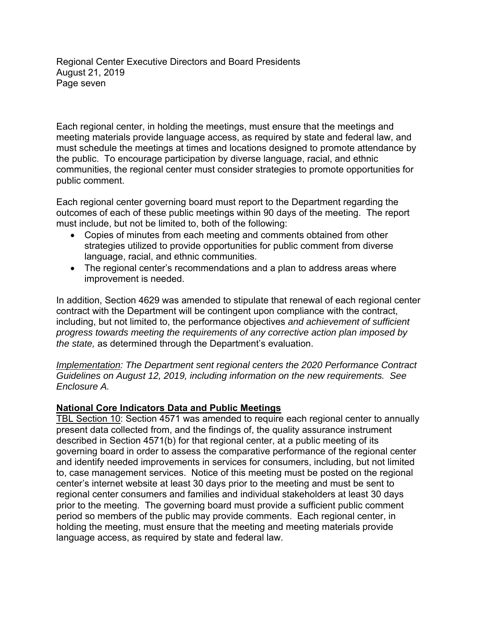Regional Center Executive Directors and Board Presidents August 21, 2019 Page seven

Each regional center, in holding the meetings, must ensure that the meetings and meeting materials provide language access, as required by state and federal law, and must schedule the meetings at times and locations designed to promote attendance by the public. To encourage participation by diverse language, racial, and ethnic communities, the regional center must consider strategies to promote opportunities for public comment.

Each regional center governing board must report to the Department regarding the outcomes of each of these public meetings within 90 days of the meeting. The report must include, but not be limited to, both of the following:

- Copies of minutes from each meeting and comments obtained from other strategies utilized to provide opportunities for public comment from diverse language, racial, and ethnic communities.
- The regional center's recommendations and a plan to address areas where improvement is needed.

In addition, Section 4629 was amended to stipulate that renewal of each regional center contract with the Department will be contingent upon compliance with the contract, including, but not limited to, the performance objectives *and achievement of sufficient progress towards meeting the requirements of any corrective action plan imposed by the state,* as determined through the Department's evaluation.

*Implementation: The Department sent regional centers the 2020 Performance Contract Guidelines on August 12, 2019, including information on the new requirements. See Enclosure A.* 

#### **National Core Indicators Data and Public Meetings**

TBL Section 10: Section 4571 was amended to require each regional center to annually present data collected from, and the findings of, the quality assurance instrument described in Section 4571(b) for that regional center, at a public meeting of its governing board in order to assess the comparative performance of the regional center and identify needed improvements in services for consumers, including, but not limited to, case management services. Notice of this meeting must be posted on the regional center's internet website at least 30 days prior to the meeting and must be sent to regional center consumers and families and individual stakeholders at least 30 days prior to the meeting. The governing board must provide a sufficient public comment period so members of the public may provide comments. Each regional center, in holding the meeting, must ensure that the meeting and meeting materials provide language access, as required by state and federal law.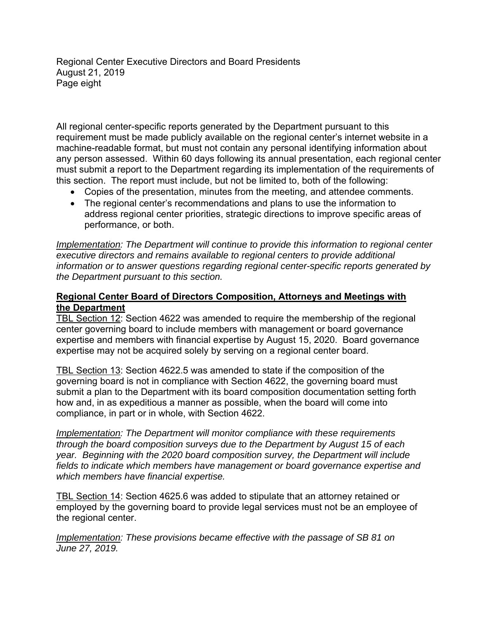Regional Center Executive Directors and Board Presidents August 21, 2019 Page eight

All regional center-specific reports generated by the Department pursuant to this requirement must be made publicly available on the regional center's internet website in a machine-readable format, but must not contain any personal identifying information about any person assessed. Within 60 days following its annual presentation, each regional center must submit a report to the Department regarding its implementation of the requirements of this section. The report must include, but not be limited to, both of the following:

- Copies of the presentation, minutes from the meeting, and attendee comments.
- The regional center's recommendations and plans to use the information to address regional center priorities, strategic directions to improve specific areas of performance, or both.

*Implementation: The Department will continue to provide this information to regional center executive directors and remains available to regional centers to provide additional information or to answer questions regarding regional center-specific reports generated by the Department pursuant to this section.* 

#### **Regional Center Board of Directors Composition, Attorneys and Meetings with the Department**

TBL Section 12: Section 4622 was amended to require the membership of the regional center governing board to include members with management or board governance expertise and members with financial expertise by August 15, 2020. Board governance expertise may not be acquired solely by serving on a regional center board.

TBL Section 13: Section 4622.5 was amended to state if the composition of the governing board is not in compliance with Section 4622, the governing board must submit a plan to the Department with its board composition documentation setting forth how and, in as expeditious a manner as possible, when the board will come into compliance, in part or in whole, with Section 4622.

*Implementation: The Department will monitor compliance with these requirements through the board composition surveys due to the Department by August 15 of each year. Beginning with the 2020 board composition survey, the Department will include fields to indicate which members have management or board governance expertise and which members have financial expertise.* 

TBL Section 14: Section 4625.6 was added to stipulate that an attorney retained or employed by the governing board to provide legal services must not be an employee of the regional center.

*Implementation: These provisions became effective with the passage of SB 81 on June 27, 2019.*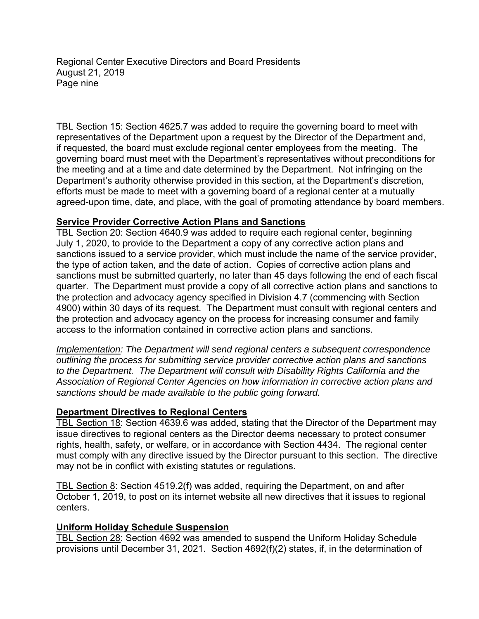Regional Center Executive Directors and Board Presidents August 21, 2019 Page nine

TBL Section 15: Section 4625.7 was added to require the governing board to meet with representatives of the Department upon a request by the Director of the Department and, if requested, the board must exclude regional center employees from the meeting. The governing board must meet with the Department's representatives without preconditions for the meeting and at a time and date determined by the Department. Not infringing on the Department's authority otherwise provided in this section, at the Department's discretion, efforts must be made to meet with a governing board of a regional center at a mutually agreed-upon time, date, and place, with the goal of promoting attendance by board members.

#### **Service Provider Corrective Action Plans and Sanctions**

TBL Section 20: Section 4640.9 was added to require each regional center, beginning July 1, 2020, to provide to the Department a copy of any corrective action plans and sanctions issued to a service provider, which must include the name of the service provider, the type of action taken, and the date of action. Copies of corrective action plans and sanctions must be submitted quarterly, no later than 45 days following the end of each fiscal quarter. The Department must provide a copy of all corrective action plans and sanctions to the protection and advocacy agency specified in Division 4.7 (commencing with Section 4900) within 30 days of its request. The Department must consult with regional centers and the protection and advocacy agency on the process for increasing consumer and family access to the information contained in corrective action plans and sanctions.

*Implementation: The Department will send regional centers a subsequent correspondence outlining the process for submitting service provider corrective action plans and sanctions to the Department. The Department will consult with Disability Rights California and the Association of Regional Center Agencies on how information in corrective action plans and sanctions should be made available to the public going forward.* 

#### **Department Directives to Regional Centers**

TBL Section 18: Section 4639.6 was added, stating that the Director of the Department may issue directives to regional centers as the Director deems necessary to protect consumer rights, health, safety, or welfare, or in accordance with Section 4434. The regional center must comply with any directive issued by the Director pursuant to this section. The directive may not be in conflict with existing statutes or regulations.

TBL Section 8: Section 4519.2(f) was added, requiring the Department, on and after October 1, 2019, to post on its internet website all new directives that it issues to regional centers.

#### **Uniform Holiday Schedule Suspension**

TBL Section 28: Section 4692 was amended to suspend the Uniform Holiday Schedule provisions until December 31, 2021. Section 4692(f)(2) states, if, in the determination of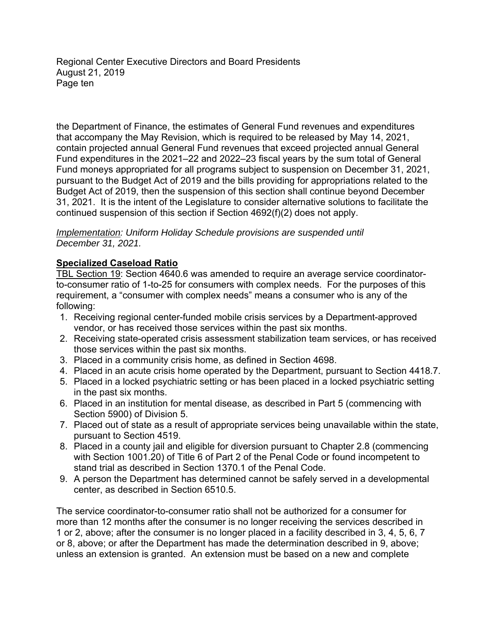Regional Center Executive Directors and Board Presidents August 21, 2019 Page ten

the Department of Finance, the estimates of General Fund revenues and expenditures that accompany the May Revision, which is required to be released by May 14, 2021, contain projected annual General Fund revenues that exceed projected annual General Fund expenditures in the 2021–22 and 2022–23 fiscal years by the sum total of General Fund moneys appropriated for all programs subject to suspension on December 31, 2021, pursuant to the Budget Act of 2019 and the bills providing for appropriations related to the Budget Act of 2019, then the suspension of this section shall continue beyond December 31, 2021. It is the intent of the Legislature to consider alternative solutions to facilitate the continued suspension of this section if Section 4692(f)(2) does not apply.

#### *Implementation: Uniform Holiday Schedule provisions are suspended until December 31, 2021.*

## **Specialized Caseload Ratio**

TBL Section 19: Section 4640.6 was amended to require an average service coordinatorto-consumer ratio of 1-to-25 for consumers with complex needs. For the purposes of this requirement, a "consumer with complex needs" means a consumer who is any of the following:

- 1. Receiving regional center-funded mobile crisis services by a Department-approved vendor, or has received those services within the past six months.
- 2. Receiving state-operated crisis assessment stabilization team services, or has received those services within the past six months.
- 3. Placed in a community crisis home, as defined in Section 4698.
- 4. Placed in an acute crisis home operated by the Department, pursuant to Section 4418.7.
- 5. Placed in a locked psychiatric setting or has been placed in a locked psychiatric setting in the past six months.
- 6. Placed in an institution for mental disease, as described in Part 5 (commencing with Section 5900) of Division 5.
- 7. Placed out of state as a result of appropriate services being unavailable within the state, pursuant to Section 4519.
- 8. Placed in a county jail and eligible for diversion pursuant to Chapter 2.8 (commencing with Section 1001.20) of Title 6 of Part 2 of the Penal Code or found incompetent to stand trial as described in Section 1370.1 of the Penal Code.
- 9. A person the Department has determined cannot be safely served in a developmental center, as described in Section 6510.5.

The service coordinator-to-consumer ratio shall not be authorized for a consumer for more than 12 months after the consumer is no longer receiving the services described in 1 or 2, above; after the consumer is no longer placed in a facility described in 3, 4, 5, 6, 7 or 8, above; or after the Department has made the determination described in 9, above; unless an extension is granted. An extension must be based on a new and complete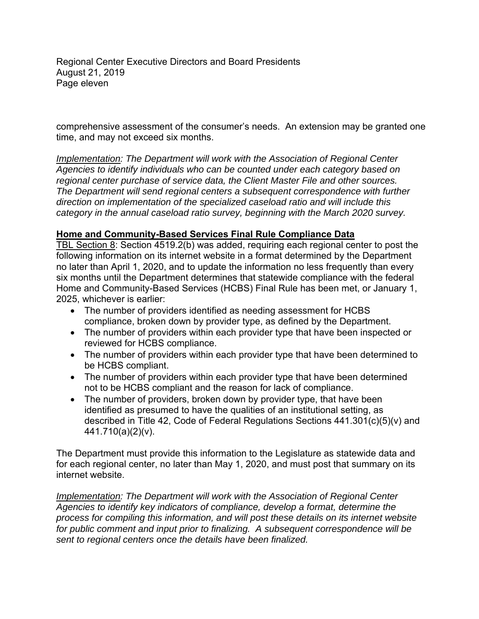Regional Center Executive Directors and Board Presidents August 21, 2019 Page eleven

comprehensive assessment of the consumer's needs. An extension may be granted one time, and may not exceed six months.

*Implementation: The Department will work with the Association of Regional Center Agencies to identify individuals who can be counted under each category based on regional center purchase of service data, the Client Master File and other sources. The Department will send regional centers a subsequent correspondence with further direction on implementation of the specialized caseload ratio and will include this category in the annual caseload ratio survey, beginning with the March 2020 survey.* 

## **Home and Community-Based Services Final Rule Compliance Data**

TBL Section 8: Section 4519.2(b) was added, requiring each regional center to post the following information on its internet website in a format determined by the Department no later than April 1, 2020, and to update the information no less frequently than every six months until the Department determines that statewide compliance with the federal Home and Community-Based Services (HCBS) Final Rule has been met, or January 1, 2025, whichever is earlier:

- The number of providers identified as needing assessment for HCBS compliance, broken down by provider type, as defined by the Department.
- The number of providers within each provider type that have been inspected or reviewed for HCBS compliance.
- The number of providers within each provider type that have been determined to be HCBS compliant.
- The number of providers within each provider type that have been determined not to be HCBS compliant and the reason for lack of compliance.
- The number of providers, broken down by provider type, that have been identified as presumed to have the qualities of an institutional setting, as described in Title 42, Code of Federal Regulations Sections 441.301(c)(5)(v) and 441.710(a)(2)(v).

The Department must provide this information to the Legislature as statewide data and for each regional center, no later than May 1, 2020, and must post that summary on its internet website.

*Implementation: The Department will work with the Association of Regional Center Agencies to identify key indicators of compliance, develop a format, determine the process for compiling this information, and will post these details on its internet website for public comment and input prior to finalizing. A subsequent correspondence will be sent to regional centers once the details have been finalized.*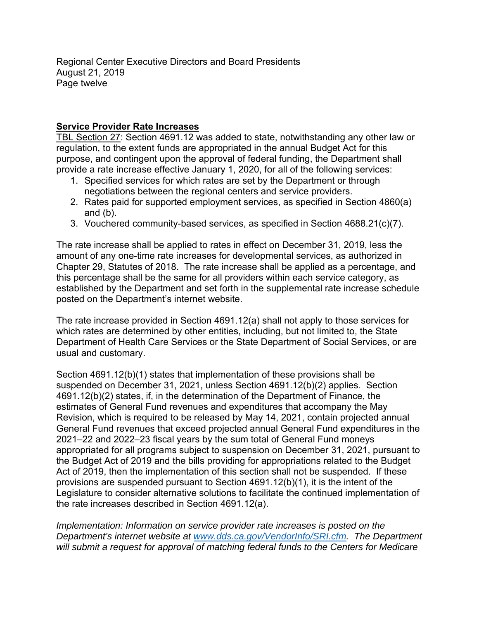Regional Center Executive Directors and Board Presidents August 21, 2019 Page twelve

### **Service Provider Rate Increases**

TBL Section 27: Section 4691.12 was added to state, notwithstanding any other law or regulation, to the extent funds are appropriated in the annual Budget Act for this purpose, and contingent upon the approval of federal funding, the Department shall provide a rate increase effective January 1, 2020, for all of the following services:

- 1. Specified services for which rates are set by the Department or through negotiations between the regional centers and service providers.
- 2. Rates paid for supported employment services, as specified in Section 4860(a) and (b).
- 3. Vouchered community-based services, as specified in Section 4688.21(c)(7).

The rate increase shall be applied to rates in effect on December 31, 2019, less the amount of any one-time rate increases for developmental services, as authorized in Chapter 29, Statutes of 2018. The rate increase shall be applied as a percentage, and this percentage shall be the same for all providers within each service category, as established by the Department and set forth in the supplemental rate increase schedule posted on the Department's internet website.

The rate increase provided in Section 4691.12(a) shall not apply to those services for which rates are determined by other entities, including, but not limited to, the State Department of Health Care Services or the State Department of Social Services, or are usual and customary.

Section 4691.12(b)(1) states that implementation of these provisions shall be suspended on December 31, 2021, unless Section 4691.12(b)(2) applies. Section 4691.12(b)(2) states, if, in the determination of the Department of Finance, the estimates of General Fund revenues and expenditures that accompany the May Revision, which is required to be released by May 14, 2021, contain projected annual General Fund revenues that exceed projected annual General Fund expenditures in the 2021–22 and 2022–23 fiscal years by the sum total of General Fund moneys appropriated for all programs subject to suspension on December 31, 2021, pursuant to the Budget Act of 2019 and the bills providing for appropriations related to the Budget Act of 2019, then the implementation of this section shall not be suspended. If these provisions are suspended pursuant to Section 4691.12(b)(1), it is the intent of the Legislature to consider alternative solutions to facilitate the continued implementation of the rate increases described in Section 4691.12(a).

*Implementation: Information on service provider rate increases is posted on the Department's internet website at www.dds.ca.gov/VendorInfo/SRI.cfm. The Department will submit a request for approval of matching federal funds to the Centers for Medicare*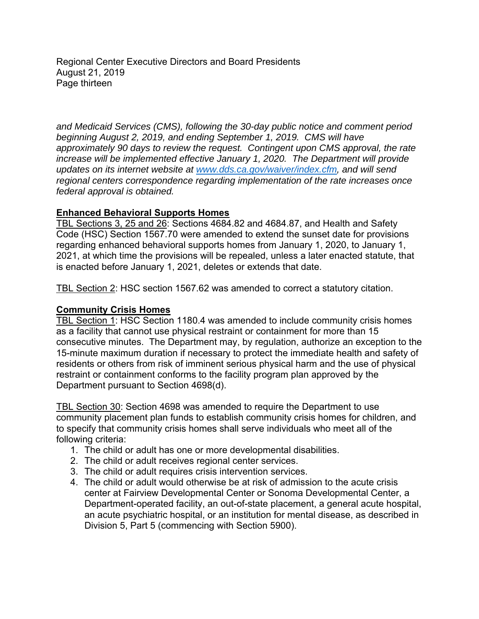Regional Center Executive Directors and Board Presidents August 21, 2019 Page thirteen

*and Medicaid Services (CMS), following the 30-day public notice and comment period beginning August 2, 2019, and ending September 1, 2019. CMS will have approximately 90 days to review the request. Contingent upon CMS approval, the rate increase will be implemented effective January 1, 2020. The Department will provide updates on its internet website at www.dds.ca.gov/waiver/index.cfm, and will send regional centers correspondence regarding implementation of the rate increases once federal approval is obtained.* 

### **Enhanced Behavioral Supports Homes**

TBL Sections 3, 25 and 26: Sections 4684.82 and 4684.87, and Health and Safety Code (HSC) Section 1567.70 were amended to extend the sunset date for provisions regarding enhanced behavioral supports homes from January 1, 2020, to January 1, 2021, at which time the provisions will be repealed, unless a later enacted statute, that is enacted before January 1, 2021, deletes or extends that date.

TBL Section 2: HSC section 1567.62 was amended to correct a statutory citation.

#### **Community Crisis Homes**

TBL Section 1: HSC Section 1180.4 was amended to include community crisis homes as a facility that cannot use physical restraint or containment for more than 15 consecutive minutes. The Department may, by regulation, authorize an exception to the 15-minute maximum duration if necessary to protect the immediate health and safety of residents or others from risk of imminent serious physical harm and the use of physical restraint or containment conforms to the facility program plan approved by the Department pursuant to Section 4698(d).

TBL Section 30: Section 4698 was amended to require the Department to use community placement plan funds to establish community crisis homes for children, and to specify that community crisis homes shall serve individuals who meet all of the following criteria:

- 1. The child or adult has one or more developmental disabilities.
- 2. The child or adult receives regional center services.
- 3. The child or adult requires crisis intervention services.
- 4. The child or adult would otherwise be at risk of admission to the acute crisis center at Fairview Developmental Center or Sonoma Developmental Center, a Department-operated facility, an out-of-state placement, a general acute hospital, an acute psychiatric hospital, or an institution for mental disease, as described in Division 5, Part 5 (commencing with Section 5900).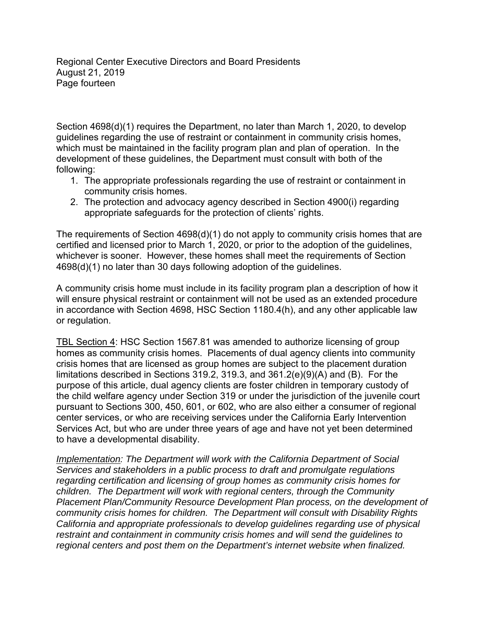Regional Center Executive Directors and Board Presidents August 21, 2019 Page fourteen

Section 4698(d)(1) requires the Department, no later than March 1, 2020, to develop guidelines regarding the use of restraint or containment in community crisis homes, which must be maintained in the facility program plan and plan of operation. In the development of these guidelines, the Department must consult with both of the following:

- 1. The appropriate professionals regarding the use of restraint or containment in community crisis homes.
- 2. The protection and advocacy agency described in Section 4900(i) regarding appropriate safeguards for the protection of clients' rights.

The requirements of Section 4698(d)(1) do not apply to community crisis homes that are certified and licensed prior to March 1, 2020, or prior to the adoption of the guidelines, whichever is sooner. However, these homes shall meet the requirements of Section 4698(d)(1) no later than 30 days following adoption of the guidelines.

A community crisis home must include in its facility program plan a description of how it will ensure physical restraint or containment will not be used as an extended procedure in accordance with Section 4698, HSC Section 1180.4(h), and any other applicable law or regulation.

TBL Section 4: HSC Section 1567.81 was amended to authorize licensing of group homes as community crisis homes. Placements of dual agency clients into community crisis homes that are licensed as group homes are subject to the placement duration limitations described in Sections 319.2, 319.3, and 361.2(e)(9)(A) and (B). For the purpose of this article, dual agency clients are foster children in temporary custody of the child welfare agency under Section 319 or under the jurisdiction of the juvenile court pursuant to Sections 300, 450, 601, or 602, who are also either a consumer of regional center services, or who are receiving services under the California Early Intervention Services Act, but who are under three years of age and have not yet been determined to have a developmental disability.

*Implementation: The Department will work with the California Department of Social Services and stakeholders in a public process to draft and promulgate regulations regarding certification and licensing of group homes as community crisis homes for children. The Department will work with regional centers, through the Community Placement Plan/Community Resource Development Plan process, on the development of community crisis homes for children. The Department will consult with Disability Rights California and appropriate professionals to develop guidelines regarding use of physical restraint and containment in community crisis homes and will send the guidelines to regional centers and post them on the Department's internet website when finalized.*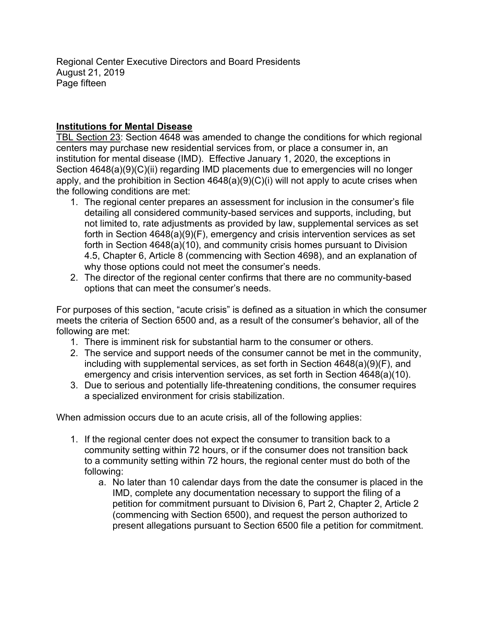Regional Center Executive Directors and Board Presidents August 21, 2019 Page fifteen

## **Institutions for Mental Disease**

TBL Section 23: Section 4648 was amended to change the conditions for which regional centers may purchase new residential services from, or place a consumer in, an institution for mental disease (IMD). Effective January 1, 2020, the exceptions in Section 4648(a)(9)(C)(ii) regarding IMD placements due to emergencies will no longer apply, and the prohibition in Section 4648(a)(9)(C)(i) will not apply to acute crises when the following conditions are met:

- 1. The regional center prepares an assessment for inclusion in the consumer's file detailing all considered community-based services and supports, including, but not limited to, rate adjustments as provided by law, supplemental services as set forth in Section 4648(a)(9)(F), emergency and crisis intervention services as set forth in Section 4648(a)(10), and community crisis homes pursuant to Division 4.5, Chapter 6, Article 8 (commencing with Section 4698), and an explanation of why those options could not meet the consumer's needs.
- 2. The director of the regional center confirms that there are no community-based options that can meet the consumer's needs.

For purposes of this section, "acute crisis" is defined as a situation in which the consumer meets the criteria of Section 6500 and, as a result of the consumer's behavior, all of the following are met:

- 1. There is imminent risk for substantial harm to the consumer or others.
- 2. The service and support needs of the consumer cannot be met in the community, including with supplemental services, as set forth in Section 4648(a)(9)(F), and emergency and crisis intervention services, as set forth in Section 4648(a)(10).
- 3. Due to serious and potentially life-threatening conditions, the consumer requires a specialized environment for crisis stabilization.

When admission occurs due to an acute crisis, all of the following applies:

- 1. If the regional center does not expect the consumer to transition back to a community setting within 72 hours, or if the consumer does not transition back to a community setting within 72 hours, the regional center must do both of the following:
	- a. No later than 10 calendar days from the date the consumer is placed in the IMD, complete any documentation necessary to support the filing of a petition for commitment pursuant to Division 6, Part 2, Chapter 2, Article 2 (commencing with Section 6500), and request the person authorized to present allegations pursuant to Section 6500 file a petition for commitment.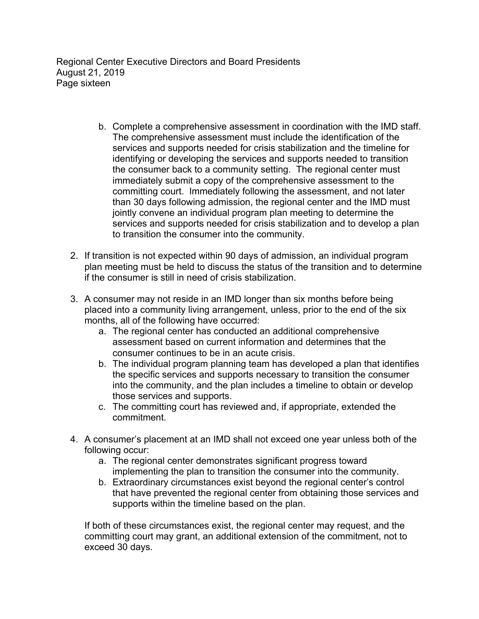Regional Center Executive Directors and Board Presidents August 21, 2019 Page sixteen

- b. Complete a comprehensive assessment in coordination with the IMD staff. The comprehensive assessment must include the identification of the services and supports needed for crisis stabilization and the timeline for identifying or developing the services and supports needed to transition the consumer back to a community setting. The regional center must immediately submit a copy of the comprehensive assessment to the committing court. Immediately following the assessment, and not later than 30 days following admission, the regional center and the IMD must jointly convene an individual program plan meeting to determine the services and supports needed for crisis stabilization and to develop a plan to transition the consumer into the community.
- 2. If transition is not expected within 90 days of admission, an individual program plan meeting must be held to discuss the status of the transition and to determine if the consumer is still in need of crisis stabilization.
- 3. A consumer may not reside in an IMD longer than six months before being placed into a community living arrangement, unless, prior to the end of the six months, all of the following have occurred:
	- a. The regional center has conducted an additional comprehensive assessment based on current information and determines that the consumer continues to be in an acute crisis.
	- b. The individual program planning team has developed a plan that identifies the specific services and supports necessary to transition the consumer into the community, and the plan includes a timeline to obtain or develop those services and supports.
	- c. The committing court has reviewed and, if appropriate, extended the commitment.
- 4. A consumer's placement at an IMD shall not exceed one year unless both of the following occur:
	- a. The regional center demonstrates significant progress toward implementing the plan to transition the consumer into the community.
	- b. Extraordinary circumstances exist beyond the regional center's control that have prevented the regional center from obtaining those services and supports within the timeline based on the plan.

If both of these circumstances exist, the regional center may request, and the committing court may grant, an additional extension of the commitment, not to exceed 30 days.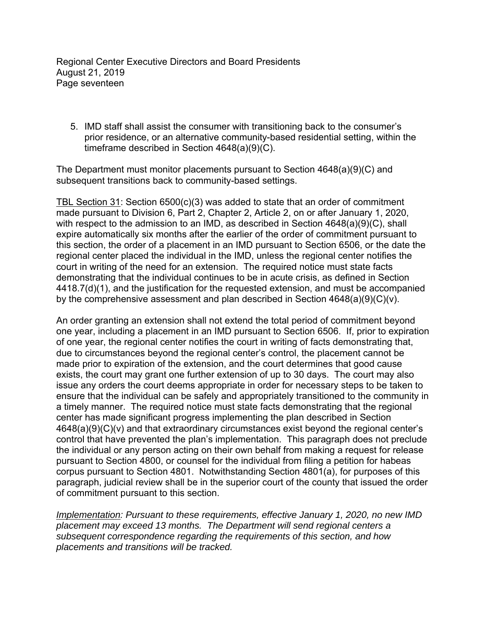Regional Center Executive Directors and Board Presidents August 21, 2019 Page seventeen

5. IMD staff shall assist the consumer with transitioning back to the consumer's prior residence, or an alternative community-based residential setting, within the timeframe described in Section 4648(a)(9)(C).

The Department must monitor placements pursuant to Section 4648(a)(9)(C) and subsequent transitions back to community-based settings.

TBL Section 31: Section 6500(c)(3) was added to state that an order of commitment made pursuant to Division 6, Part 2, Chapter 2, Article 2, on or after January 1, 2020, with respect to the admission to an IMD, as described in Section 4648(a)(9)(C), shall expire automatically six months after the earlier of the order of commitment pursuant to this section, the order of a placement in an IMD pursuant to Section 6506, or the date the regional center placed the individual in the IMD, unless the regional center notifies the court in writing of the need for an extension. The required notice must state facts demonstrating that the individual continues to be in acute crisis, as defined in Section 4418.7(d)(1), and the justification for the requested extension, and must be accompanied by the comprehensive assessment and plan described in Section 4648(a)(9)(C)(v).

An order granting an extension shall not extend the total period of commitment beyond one year, including a placement in an IMD pursuant to Section 6506. If, prior to expiration of one year, the regional center notifies the court in writing of facts demonstrating that, due to circumstances beyond the regional center's control, the placement cannot be made prior to expiration of the extension, and the court determines that good cause exists, the court may grant one further extension of up to 30 days. The court may also issue any orders the court deems appropriate in order for necessary steps to be taken to ensure that the individual can be safely and appropriately transitioned to the community in a timely manner. The required notice must state facts demonstrating that the regional center has made significant progress implementing the plan described in Section 4648(a)(9)(C)(v) and that extraordinary circumstances exist beyond the regional center's control that have prevented the plan's implementation. This paragraph does not preclude the individual or any person acting on their own behalf from making a request for release pursuant to Section 4800, or counsel for the individual from filing a petition for habeas corpus pursuant to Section 4801. Notwithstanding Section 4801(a), for purposes of this paragraph, judicial review shall be in the superior court of the county that issued the order of commitment pursuant to this section.

*Implementation: Pursuant to these requirements, effective January 1, 2020, no new IMD placement may exceed 13 months. The Department will send regional centers a subsequent correspondence regarding the requirements of this section, and how placements and transitions will be tracked.*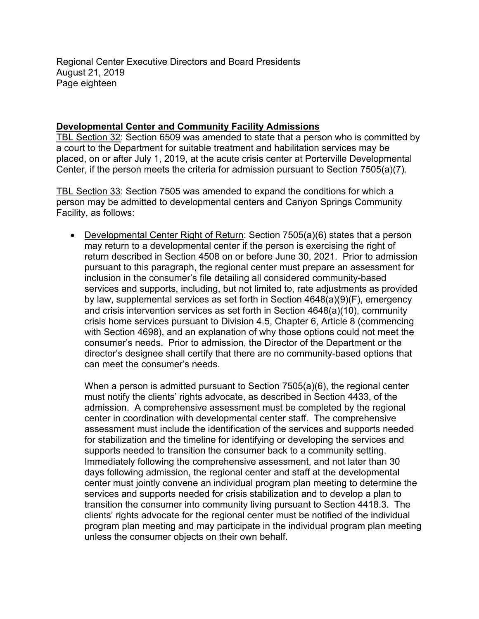Regional Center Executive Directors and Board Presidents August 21, 2019 Page eighteen

#### **Developmental Center and Community Facility Admissions**

TBL Section 32: Section 6509 was amended to state that a person who is committed by a court to the Department for suitable treatment and habilitation services may be placed, on or after July 1, 2019, at the acute crisis center at Porterville Developmental Center, if the person meets the criteria for admission pursuant to Section 7505(a)(7).

TBL Section 33: Section 7505 was amended to expand the conditions for which a person may be admitted to developmental centers and Canyon Springs Community Facility, as follows:

• Developmental Center Right of Return: Section 7505(a)(6) states that a person may return to a developmental center if the person is exercising the right of return described in Section 4508 on or before June 30, 2021. Prior to admission pursuant to this paragraph, the regional center must prepare an assessment for inclusion in the consumer's file detailing all considered community-based services and supports, including, but not limited to, rate adjustments as provided by law, supplemental services as set forth in Section 4648(a)(9)(F), emergency and crisis intervention services as set forth in Section 4648(a)(10), community crisis home services pursuant to Division 4.5, Chapter 6, Article 8 (commencing with Section 4698), and an explanation of why those options could not meet the consumer's needs. Prior to admission, the Director of the Department or the director's designee shall certify that there are no community-based options that can meet the consumer's needs.

When a person is admitted pursuant to Section 7505(a)(6), the regional center must notify the clients' rights advocate, as described in Section 4433, of the admission. A comprehensive assessment must be completed by the regional center in coordination with developmental center staff. The comprehensive assessment must include the identification of the services and supports needed for stabilization and the timeline for identifying or developing the services and supports needed to transition the consumer back to a community setting. Immediately following the comprehensive assessment, and not later than 30 days following admission, the regional center and staff at the developmental center must jointly convene an individual program plan meeting to determine the services and supports needed for crisis stabilization and to develop a plan to transition the consumer into community living pursuant to Section 4418.3. The clients' rights advocate for the regional center must be notified of the individual program plan meeting and may participate in the individual program plan meeting unless the consumer objects on their own behalf.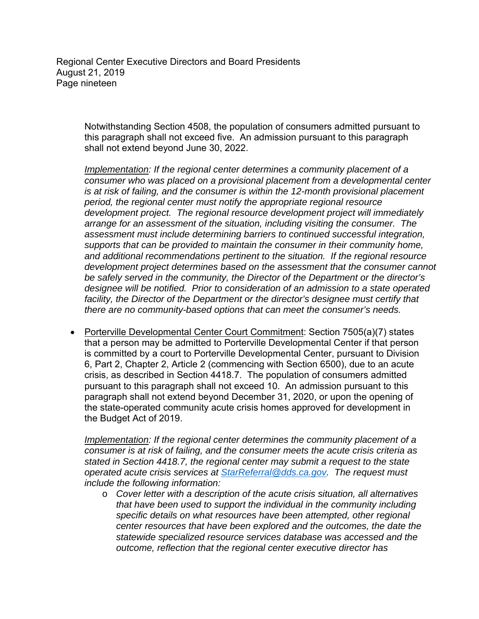Regional Center Executive Directors and Board Presidents August 21, 2019 Page nineteen

> Notwithstanding Section 4508, the population of consumers admitted pursuant to this paragraph shall not exceed five. An admission pursuant to this paragraph shall not extend beyond June 30, 2022.

*Implementation: If the regional center determines a community placement of a consumer who was placed on a provisional placement from a developmental center is at risk of failing, and the consumer is within the 12-month provisional placement period, the regional center must notify the appropriate regional resource development project. The regional resource development project will immediately arrange for an assessment of the situation, including visiting the consumer. The assessment must include determining barriers to continued successful integration, supports that can be provided to maintain the consumer in their community home, and additional recommendations pertinent to the situation. If the regional resource development project determines based on the assessment that the consumer cannot be safely served in the community, the Director of the Department or the director's designee will be notified. Prior to consideration of an admission to a state operated*  facility, the Director of the Department or the director's designee must certify that *there are no community-based options that can meet the consumer's needs.* 

 Porterville Developmental Center Court Commitment: Section 7505(a)(7) states that a person may be admitted to Porterville Developmental Center if that person is committed by a court to Porterville Developmental Center, pursuant to Division 6, Part 2, Chapter 2, Article 2 (commencing with Section 6500), due to an acute crisis, as described in Section 4418.7. The population of consumers admitted pursuant to this paragraph shall not exceed 10. An admission pursuant to this paragraph shall not extend beyond December 31, 2020, or upon the opening of the state-operated community acute crisis homes approved for development in the Budget Act of 2019.

*Implementation: If the regional center determines the community placement of a consumer is at risk of failing, and the consumer meets the acute crisis criteria as stated in Section 4418.7, the regional center may submit a request to the state operated acute crisis services at StarReferral@dds.ca.gov. The request must include the following information:* 

o *Cover letter with a description of the acute crisis situation, all alternatives that have been used to support the individual in the community including specific details on what resources have been attempted, other regional center resources that have been explored and the outcomes, the date the statewide specialized resource services database was accessed and the outcome, reflection that the regional center executive director has*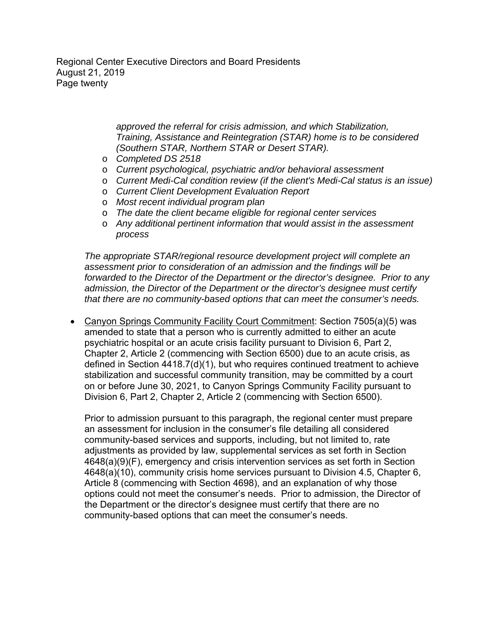Regional Center Executive Directors and Board Presidents August 21, 2019 Page twenty

> *approved the referral for crisis admission, and which Stabilization, Training, Assistance and Reintegration (STAR) home is to be considered (Southern STAR, Northern STAR or Desert STAR).*

- o *Completed DS 2518*
- o *Current psychological, psychiatric and/or behavioral assessment*
- o *Current Medi-Cal condition review (if the client's Medi-Cal status is an issue)*
- o *Current Client Development Evaluation Report*
- o *Most recent individual program plan*
- o *The date the client became eligible for regional center services*
- o *Any additional pertinent information that would assist in the assessment process*

*The appropriate STAR/regional resource development project will complete an assessment prior to consideration of an admission and the findings will be forwarded to the Director of the Department or the director's designee. Prior to any admission, the Director of the Department or the director's designee must certify that there are no community-based options that can meet the consumer's needs.* 

• Canyon Springs Community Facility Court Commitment: Section 7505(a)(5) was amended to state that a person who is currently admitted to either an acute psychiatric hospital or an acute crisis facility pursuant to Division 6, Part 2, Chapter 2, Article 2 (commencing with Section 6500) due to an acute crisis, as defined in Section 4418.7(d)(1), but who requires continued treatment to achieve stabilization and successful community transition, may be committed by a court on or before June 30, 2021, to Canyon Springs Community Facility pursuant to Division 6, Part 2, Chapter 2, Article 2 (commencing with Section 6500).

Prior to admission pursuant to this paragraph, the regional center must prepare an assessment for inclusion in the consumer's file detailing all considered community-based services and supports, including, but not limited to, rate adjustments as provided by law, supplemental services as set forth in Section 4648(a)(9)(F), emergency and crisis intervention services as set forth in Section 4648(a)(10), community crisis home services pursuant to Division 4.5, Chapter 6, Article 8 (commencing with Section 4698), and an explanation of why those options could not meet the consumer's needs. Prior to admission, the Director of the Department or the director's designee must certify that there are no community-based options that can meet the consumer's needs.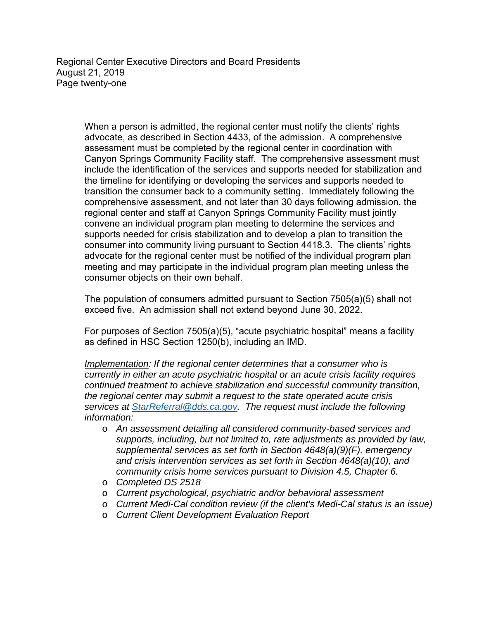Regional Center Executive Directors and Board Presidents August 21, 2019 Page twenty-one

> When a person is admitted, the regional center must notify the clients' rights advocate, as described in Section 4433, of the admission. A comprehensive assessment must be completed by the regional center in coordination with Canyon Springs Community Facility staff. The comprehensive assessment must include the identification of the services and supports needed for stabilization and the timeline for identifying or developing the services and supports needed to transition the consumer back to a community setting. Immediately following the comprehensive assessment, and not later than 30 days following admission, the regional center and staff at Canyon Springs Community Facility must jointly convene an individual program plan meeting to determine the services and supports needed for crisis stabilization and to develop a plan to transition the consumer into community living pursuant to Section 4418.3. The clients' rights advocate for the regional center must be notified of the individual program plan meeting and may participate in the individual program plan meeting unless the consumer objects on their own behalf.

The population of consumers admitted pursuant to Section 7505(a)(5) shall not exceed five. An admission shall not extend beyond June 30, 2022.

For purposes of Section 7505(a)(5), "acute psychiatric hospital" means a facility as defined in HSC Section 1250(b), including an IMD.

*Implementation: If the regional center determines that a consumer who is currently in either an acute psychiatric hospital or an acute crisis facility requires continued treatment to achieve stabilization and successful community transition, the regional center may submit a request to the state operated acute crisis services at StarReferral@dds.ca.gov. The request must include the following information:* 

- o *An assessment detailing all considered community-based services and supports, including, but not limited to, rate adjustments as provided by law, supplemental services as set forth in Section 4648(a)(9)(F), emergency and crisis intervention services as set forth in Section 4648(a)(10), and community crisis home services pursuant to Division 4.5, Chapter 6.*
- o *Completed DS 2518*
- o *Current psychological, psychiatric and/or behavioral assessment*
- o *Current Medi-Cal condition review (if the client's Medi-Cal status is an issue)*
- o *Current Client Development Evaluation Report*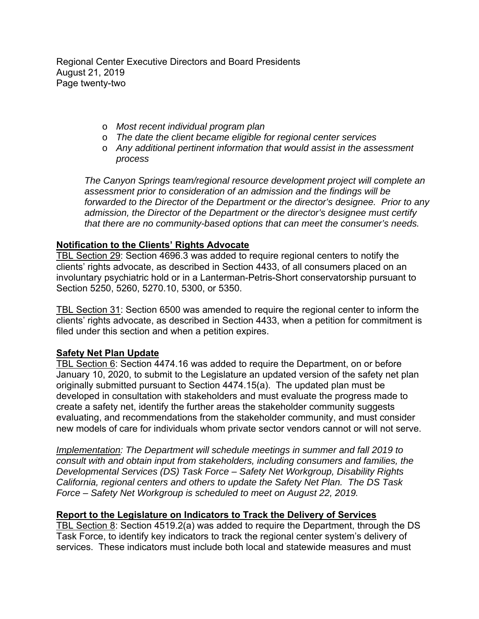Regional Center Executive Directors and Board Presidents August 21, 2019 Page twenty-two

- o *Most recent individual program plan*
- o *The date the client became eligible for regional center services*
- o *Any additional pertinent information that would assist in the assessment process*

*The Canyon Springs team/regional resource development project will complete an assessment prior to consideration of an admission and the findings will be forwarded to the Director of the Department or the director's designee. Prior to any admission, the Director of the Department or the director's designee must certify that there are no community-based options that can meet the consumer's needs.* 

### **Notification to the Clients' Rights Advocate**

TBL Section 29: Section 4696.3 was added to require regional centers to notify the clients' rights advocate, as described in Section 4433, of all consumers placed on an involuntary psychiatric hold or in a Lanterman-Petris-Short conservatorship pursuant to Section 5250, 5260, 5270.10, 5300, or 5350.

TBL Section 31: Section 6500 was amended to require the regional center to inform the clients' rights advocate, as described in Section 4433, when a petition for commitment is filed under this section and when a petition expires.

#### **Safety Net Plan Update**

TBL Section 6: Section 4474.16 was added to require the Department, on or before January 10, 2020, to submit to the Legislature an updated version of the safety net plan originally submitted pursuant to Section 4474.15(a). The updated plan must be developed in consultation with stakeholders and must evaluate the progress made to create a safety net, identify the further areas the stakeholder community suggests evaluating, and recommendations from the stakeholder community, and must consider new models of care for individuals whom private sector vendors cannot or will not serve.

*Implementation: The Department will schedule meetings in summer and fall 2019 to consult with and obtain input from stakeholders, including consumers and families, the Developmental Services (DS) Task Force – Safety Net Workgroup, Disability Rights California, regional centers and others to update the Safety Net Plan. The DS Task Force – Safety Net Workgroup is scheduled to meet on August 22, 2019.* 

## **Report to the Legislature on Indicators to Track the Delivery of Services**

TBL Section 8: Section 4519.2(a) was added to require the Department, through the DS Task Force, to identify key indicators to track the regional center system's delivery of services. These indicators must include both local and statewide measures and must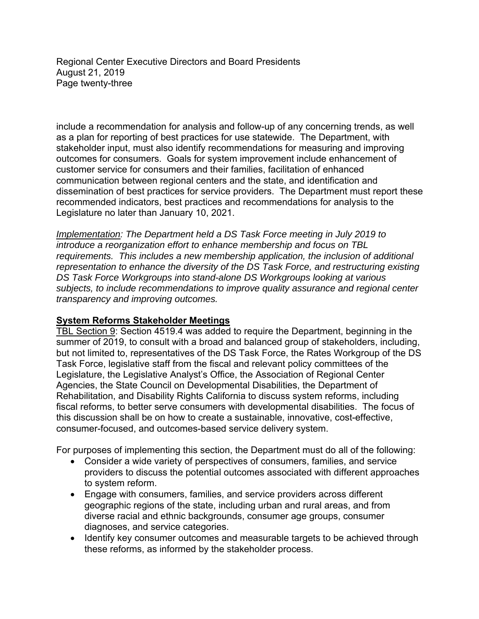Regional Center Executive Directors and Board Presidents August 21, 2019 Page twenty-three

include a recommendation for analysis and follow-up of any concerning trends, as well as a plan for reporting of best practices for use statewide. The Department, with stakeholder input, must also identify recommendations for measuring and improving outcomes for consumers. Goals for system improvement include enhancement of customer service for consumers and their families, facilitation of enhanced communication between regional centers and the state, and identification and dissemination of best practices for service providers. The Department must report these recommended indicators, best practices and recommendations for analysis to the Legislature no later than January 10, 2021.

*Implementation: The Department held a DS Task Force meeting in July 2019 to introduce a reorganization effort to enhance membership and focus on TBL requirements. This includes a new membership application, the inclusion of additional representation to enhance the diversity of the DS Task Force, and restructuring existing DS Task Force Workgroups into stand-alone DS Workgroups looking at various subjects, to include recommendations to improve quality assurance and regional center transparency and improving outcomes.* 

#### **System Reforms Stakeholder Meetings**

TBL Section 9: Section 4519.4 was added to require the Department, beginning in the summer of 2019, to consult with a broad and balanced group of stakeholders, including, but not limited to, representatives of the DS Task Force, the Rates Workgroup of the DS Task Force, legislative staff from the fiscal and relevant policy committees of the Legislature, the Legislative Analyst's Office, the Association of Regional Center Agencies, the State Council on Developmental Disabilities, the Department of Rehabilitation, and Disability Rights California to discuss system reforms, including fiscal reforms, to better serve consumers with developmental disabilities. The focus of this discussion shall be on how to create a sustainable, innovative, cost-effective, consumer-focused, and outcomes-based service delivery system.

For purposes of implementing this section, the Department must do all of the following:

- Consider a wide variety of perspectives of consumers, families, and service providers to discuss the potential outcomes associated with different approaches to system reform.
- Engage with consumers, families, and service providers across different geographic regions of the state, including urban and rural areas, and from diverse racial and ethnic backgrounds, consumer age groups, consumer diagnoses, and service categories.
- Identify key consumer outcomes and measurable targets to be achieved through these reforms, as informed by the stakeholder process.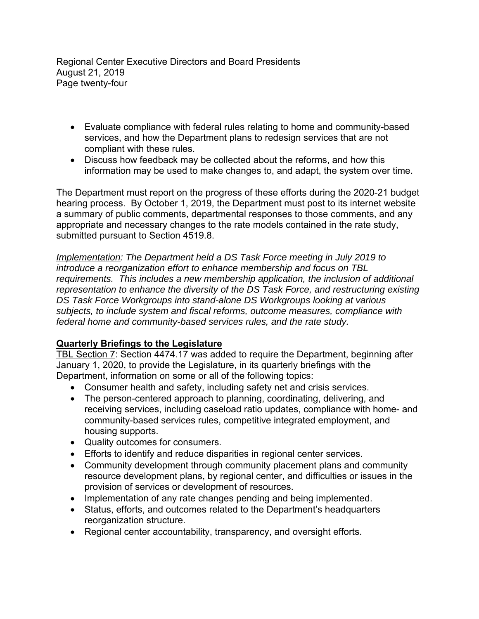Regional Center Executive Directors and Board Presidents August 21, 2019 Page twenty-four

- Evaluate compliance with federal rules relating to home and community-based services, and how the Department plans to redesign services that are not compliant with these rules.
- Discuss how feedback may be collected about the reforms, and how this information may be used to make changes to, and adapt, the system over time.

The Department must report on the progress of these efforts during the 2020-21 budget hearing process. By October 1, 2019, the Department must post to its internet website a summary of public comments, departmental responses to those comments, and any appropriate and necessary changes to the rate models contained in the rate study, submitted pursuant to Section 4519.8.

*Implementation: The Department held a DS Task Force meeting in July 2019 to introduce a reorganization effort to enhance membership and focus on TBL requirements. This includes a new membership application, the inclusion of additional representation to enhance the diversity of the DS Task Force, and restructuring existing DS Task Force Workgroups into stand-alone DS Workgroups looking at various subjects, to include system and fiscal reforms, outcome measures, compliance with federal home and community-based services rules, and the rate study.* 

## **Quarterly Briefings to the Legislature**

TBL Section 7: Section 4474.17 was added to require the Department, beginning after January 1, 2020, to provide the Legislature, in its quarterly briefings with the Department, information on some or all of the following topics:

- Consumer health and safety, including safety net and crisis services.
- The person-centered approach to planning, coordinating, delivering, and receiving services, including caseload ratio updates, compliance with home- and community-based services rules, competitive integrated employment, and housing supports.
- Quality outcomes for consumers.
- Efforts to identify and reduce disparities in regional center services.
- Community development through community placement plans and community resource development plans, by regional center, and difficulties or issues in the provision of services or development of resources.
- Implementation of any rate changes pending and being implemented.
- Status, efforts, and outcomes related to the Department's headquarters reorganization structure.
- Regional center accountability, transparency, and oversight efforts.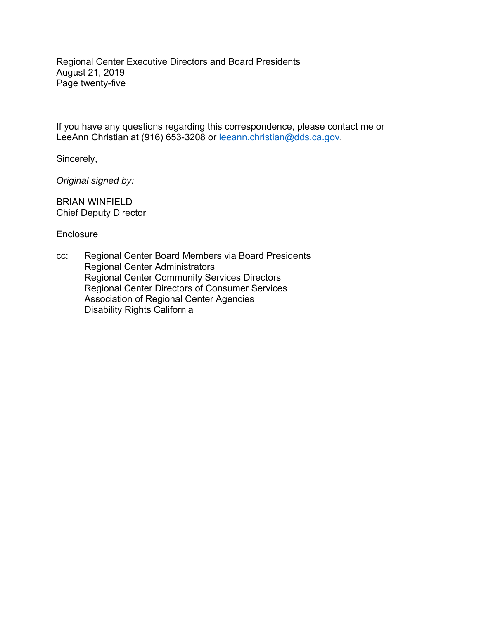Regional Center Executive Directors and Board Presidents August 21, 2019 Page twenty-five

If you have any questions regarding this correspondence, please contact me or LeeAnn Christian at (916) 653-3208 or leeann.christian@dds.ca.gov.

Sincerely,

*Original signed by:* 

BRIAN WINFIELD Chief Deputy Director

**Enclosure** 

cc: Regional Center Board Members via Board Presidents Regional Center Administrators Regional Center Community Services Directors Regional Center Directors of Consumer Services Association of Regional Center Agencies Disability Rights California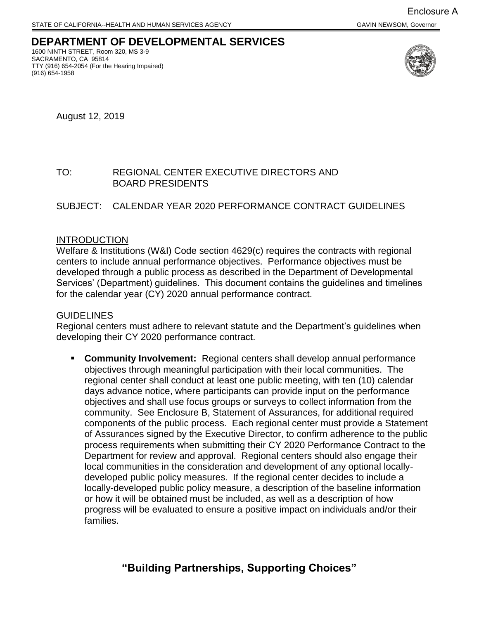#### **DEPARTMENT OF DEVELOPMENTAL SERVICES**  1600 NINTH STREET, Room 320, MS 3-9

 TTY (916) 654-2054 (For the Hearing Impaired) SACRAMENTO, CA 95814 (916) 654-1958



August 12, 2019

## TO: REGIONAL CENTER EXECUTIVE DIRECTORS AND BOARD PRESIDENTS

#### SUBJECT: CALENDAR YEAR 2020 PERFORMANCE CONTRACT GUIDELINES

#### INTRODUCTION

for the calendar year (CY) 2020 annual performance contract.<br><u>GUIDELINES</u> Welfare & Institutions (W&I) Code section 4629(c) requires the contracts with regional centers to include annual performance objectives. Performance objectives must be developed through a public process as described in the Department of Developmental Services' (Department) guidelines. This document contains the guidelines and timelines

Regional centers must adhere to relevant statute and the Department's guidelines when developing their CY 2020 performance contract.

 ▪ **Community Involvement:** Regional centers shall develop annual performance objectives through meaningful participation with their local communities. The Department for review and approval. Regional centers should also engage their developed public policy measures. If the regional center decides to include a regional center shall conduct at least one public meeting, with ten (10) calendar days advance notice, where participants can provide input on the performance objectives and shall use focus groups or surveys to collect information from the community. See Enclosure B, Statement of Assurances, for additional required components of the public process. Each regional center must provide a Statement of Assurances signed by the Executive Director, to confirm adherence to the public process requirements when submitting their CY 2020 Performance Contract to the local communities in the consideration and development of any optional locallylocally-developed public policy measure, a description of the baseline information or how it will be obtained must be included, as well as a description of how progress will be evaluated to ensure a positive impact on individuals and/or their families.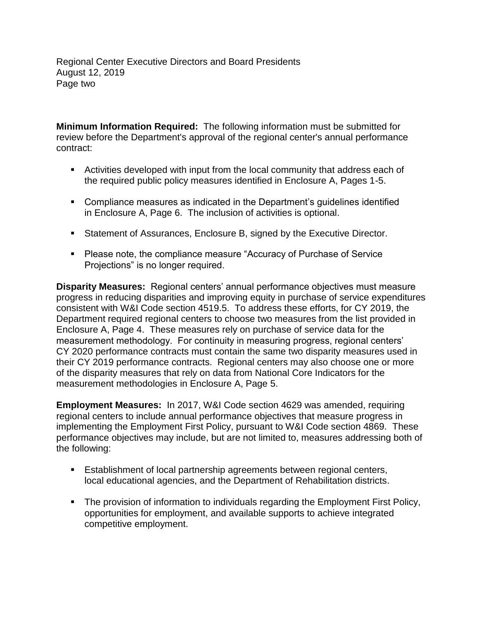Regional Center Executive Directors and Board Presidents August 12, 2019 Page two

 **Minimum Information Required:** The following information must be submitted for review before the Department's approval of the regional center's annual performance contract:

- Activities developed with input from the local community that address each of the required public policy measures identified in Enclosure A, Pages 1-5.
- in Enclosure A, Page 6. The inclusion of activities is optional. ■ Compliance measures as indicated in the Department's guidelines identified
- Statement of Assurances, Enclosure B, signed by the Executive Director.
- Please note, the compliance measure "Accuracy of Purchase of Service Projections" is no longer required.

 **Disparity Measures:** Regional centers' annual performance objectives must measure Enclosure A, Page 4. These measures rely on purchase of service data for the their CY 2019 performance contracts. Regional centers may also choose one or more measurement methodologies in Enclosure A, Page 5. progress in reducing disparities and improving equity in purchase of service expenditures consistent with W&I Code section 4519.5. To address these efforts, for CY 2019, the Department required regional centers to choose two measures from the list provided in measurement methodology. For continuity in measuring progress, regional centers' CY 2020 performance contracts must contain the same two disparity measures used in of the disparity measures that rely on data from National Core Indicators for the

**Employment Measures:** In 2017, W&I Code section 4629 was amended, requiring regional centers to include annual performance objectives that measure progress in implementing the Employment First Policy, pursuant to W&I Code section 4869. These performance objectives may include, but are not limited to, measures addressing both of the following:

- **E** Establishment of local partnership agreements between regional centers, local educational agencies, and the Department of Rehabilitation districts.
- **The provision of information to individuals regarding the Employment First Policy,** opportunities for employment, and available supports to achieve integrated competitive employment.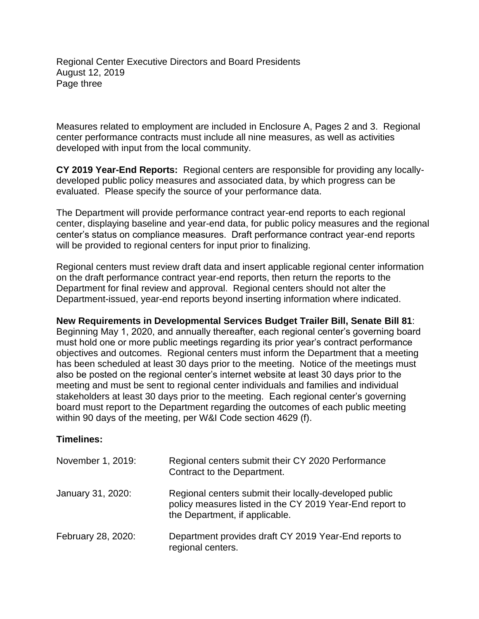Regional Center Executive Directors and Board Presidents August 12, 2019 Page three

Measures related to employment are included in Enclosure A, Pages 2 and 3. Regional center performance contracts must include all nine measures, as well as activities developed with input from the local community.

 **CY 2019 Year-End Reports:** Regional centers are responsible for providing any locally- evaluated. Please specify the source of your performance data. developed public policy measures and associated data, by which progress can be

 center's status on compliance measures. Draft performance contract year-end reports will be provided to regional centers for input prior to finalizing. The Department will provide performance contract year-end reports to each regional center, displaying baseline and year-end data, for public policy measures and the regional

Regional centers must review draft data and insert applicable regional center information on the draft performance contract year-end reports, then return the reports to the Department for final review and approval. Regional centers should not alter the Department-issued, year-end reports beyond inserting information where indicated.

**New Requirements in Developmental Services Budget Trailer Bill, Senate Bill 81**:

 objectives and outcomes. Regional centers must inform the Department that a meeting has been scheduled at least 30 days prior to the meeting. Notice of the meetings must within 90 days of the meeting, per W&I Code section 4629 (f). Beginning May 1, 2020, and annually thereafter, each regional center's governing board must hold one or more public meetings regarding its prior year's contract performance also be posted on the regional center's internet website at least 30 days prior to the meeting and must be sent to regional center individuals and families and individual stakeholders at least 30 days prior to the meeting. Each regional center's governing board must report to the Department regarding the outcomes of each public meeting

## **Timelines:**

| November 1, 2019:  | Regional centers submit their CY 2020 Performance<br>Contract to the Department.                                                                     |
|--------------------|------------------------------------------------------------------------------------------------------------------------------------------------------|
| January 31, 2020:  | Regional centers submit their locally-developed public<br>policy measures listed in the CY 2019 Year-End report to<br>the Department, if applicable. |
| February 28, 2020: | Department provides draft CY 2019 Year-End reports to<br>regional centers.                                                                           |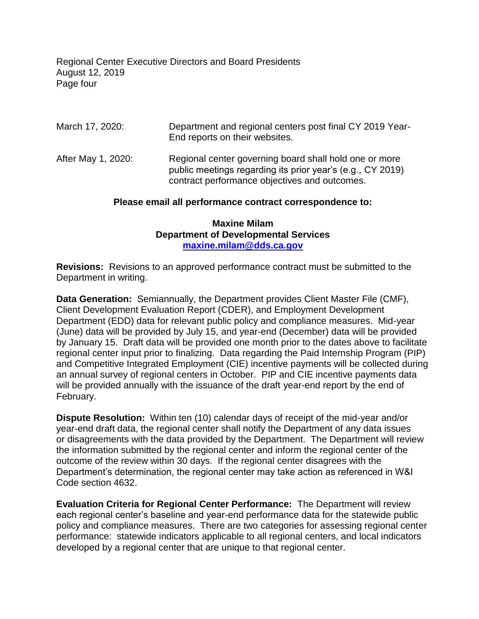Regional Center Executive Directors and Board Presidents August 12, 2019 Page four

| March 17, 2020:    | Department and regional centers post final CY 2019 Year-<br>End reports on their websites.                                                                            |
|--------------------|-----------------------------------------------------------------------------------------------------------------------------------------------------------------------|
| After May 1, 2020: | Regional center governing board shall hold one or more<br>public meetings regarding its prior year's (e.g., CY 2019)<br>contract performance objectives and outcomes. |

#### **Please email all performance contract correspondence to:**

#### **Maxine Milam Department of Developmental Services [maxine.milam@dds.ca.gov](mailto:maria.pena@dds.ca.gov)**

 **Revisions:** Revisions to an approved performance contract must be submitted to the Department in writing.

 **Data Generation:** Semiannually, the Department provides Client Master File (CMF), Department (EDD) data for relevant public policy and compliance measures. Mid-year (June) data will be provided by July 15, and year-end (December) data will be provided (June) data will be provided by July 15, and year-end (December) data will be provided<br>by January 15. Draft data will be provided one month prior to the dates above to facilitate an annual survey of regional centers in October. PIP and CIE incentive payments data will be provided annually with the issuance of the draft year-end report by the end of Client Development Evaluation Report (CDER), and Employment Development regional center input prior to finalizing. Data regarding the Paid Internship Program (PIP) and Competitive Integrated Employment (CIE) incentive payments will be collected during February.

 **Dispute Resolution:** Within ten (10) calendar days of receipt of the mid-year and/or or disagreements with the data provided by the Department. The Department will review year-end draft data, the regional center shall notify the Department of any data issues the information submitted by the regional center and inform the regional center of the outcome of the review within 30 days. If the regional center disagrees with the Department's determination, the regional center may take action as referenced in W&I Code section 4632.

 **Evaluation Criteria for Regional Center Performance:** The Department will review policy and compliance measures. There are two categories for assessing regional center each regional center's baseline and year-end performance data for the statewide public performance: statewide indicators applicable to all regional centers, and local indicators developed by a regional center that are unique to that regional center.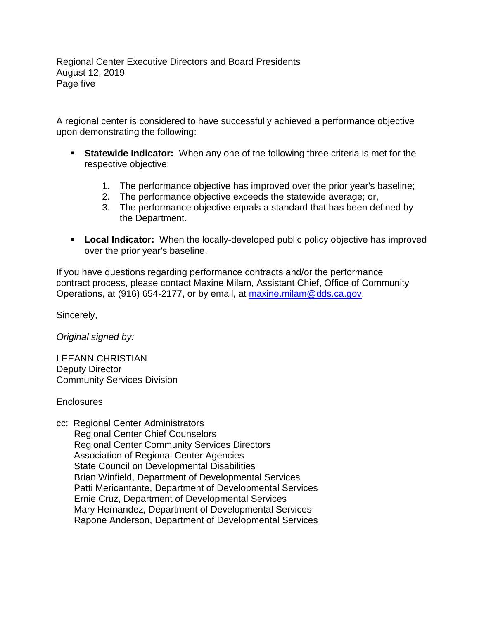Regional Center Executive Directors and Board Presidents August 12, 2019 Page five

 A regional center is considered to have successfully achieved a performance objective upon demonstrating the following:

- **EXEL Statewide Indicator:** When any one of the following three criteria is met for the respective objective:
	- 1. The performance objective has improved over the prior year's baseline;
	- 2. The performance objective exceeds the statewide average; or,
	- 3. The performance objective equals a standard that has been defined by the Department.
- **EXECT** Local Indicator: When the locally-developed public policy objective has improved over the prior year's baseline.

If you have questions regarding performance contracts and/or the performance contract process, please contact Maxine Milam, Assistant Chief, Office of Community Operations, at (916) 654-2177, or by email, at [maxine.milam@dds.ca.gov.](mailto:maxine.milam@dds.ca.gov)

Sincerely,

*Original signed by:* 

LEEANN CHRISTIAN Deputy Director Community Services Division

**Enclosures** 

cc: Regional Center Administrators Regional Center Chief Counselors Regional Center Community Services Directors Association of Regional Center Agencies State Council on Developmental Disabilities Brian Winfield, Department of Developmental Services Patti Mericantante, Department of Developmental Services Ernie Cruz, Department of Developmental Services Mary Hernandez, Department of Developmental Services Rapone Anderson, Department of Developmental Services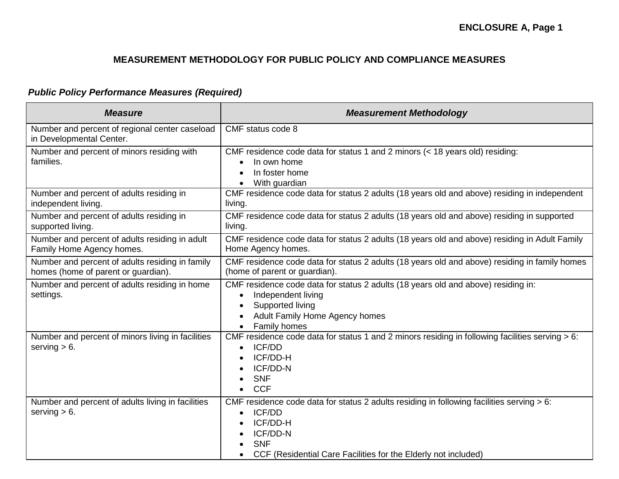# *Public Policy Performance Measures (Required)*

| <b>Measure</b>                                                                         | <b>Measurement Methodology</b>                                                                                                                                                                                                  |
|----------------------------------------------------------------------------------------|---------------------------------------------------------------------------------------------------------------------------------------------------------------------------------------------------------------------------------|
| Number and percent of regional center caseload<br>in Developmental Center.             | CMF status code 8                                                                                                                                                                                                               |
| Number and percent of minors residing with<br>families.                                | CMF residence code data for status 1 and 2 minors (< 18 years old) residing:<br>In own home<br>$\bullet$<br>In foster home<br>With guardian                                                                                     |
| Number and percent of adults residing in<br>independent living.                        | CMF residence code data for status 2 adults (18 years old and above) residing in independent<br>living.                                                                                                                         |
| Number and percent of adults residing in<br>supported living.                          | CMF residence code data for status 2 adults (18 years old and above) residing in supported<br>living.                                                                                                                           |
| Number and percent of adults residing in adult<br>Family Home Agency homes.            | CMF residence code data for status 2 adults (18 years old and above) residing in Adult Family<br>Home Agency homes.                                                                                                             |
| Number and percent of adults residing in family<br>homes (home of parent or guardian). | CMF residence code data for status 2 adults (18 years old and above) residing in family homes<br>(home of parent or guardian).                                                                                                  |
| Number and percent of adults residing in home<br>settings.                             | CMF residence code data for status 2 adults (18 years old and above) residing in:<br>Independent living<br>$\bullet$<br>Supported living<br>$\bullet$<br>Adult Family Home Agency homes<br>Family homes                         |
| Number and percent of minors living in facilities<br>serving $> 6$ .                   | CMF residence code data for status 1 and 2 minors residing in following facilities serving $> 6$ :<br><b>ICF/DD</b><br>$\bullet$<br>ICF/DD-H<br>ICF/DD-N<br><b>SNF</b><br><b>CCF</b><br>$\bullet$                               |
| Number and percent of adults living in facilities<br>serving $> 6$ .                   | CMF residence code data for status 2 adults residing in following facilities serving > 6:<br><b>ICF/DD</b><br>$\bullet$<br>ICF/DD-H<br>ICF/DD-N<br><b>SNF</b><br>CCF (Residential Care Facilities for the Elderly not included) |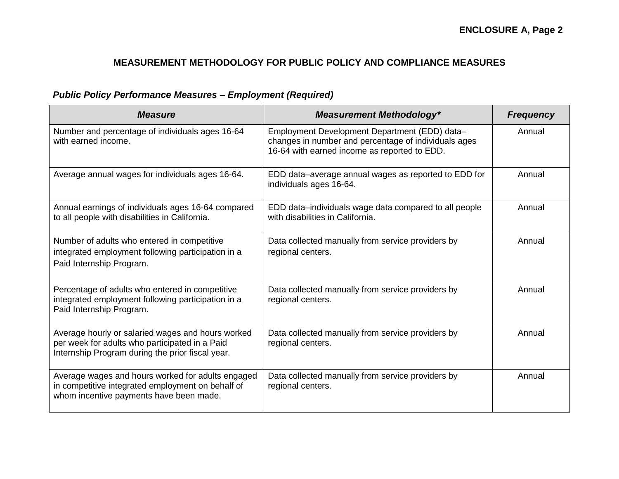# *Public Policy Performance Measures – Employment (Required)*

| <b>Measure</b>                                                                                                                                          | <b>Measurement Methodology*</b>                                                                                                                       | <b>Frequency</b> |
|---------------------------------------------------------------------------------------------------------------------------------------------------------|-------------------------------------------------------------------------------------------------------------------------------------------------------|------------------|
| Number and percentage of individuals ages 16-64<br>with earned income.                                                                                  | Employment Development Department (EDD) data-<br>changes in number and percentage of individuals ages<br>16-64 with earned income as reported to EDD. | Annual           |
| Average annual wages for individuals ages 16-64.                                                                                                        | EDD data-average annual wages as reported to EDD for<br>individuals ages 16-64.                                                                       | Annual           |
| Annual earnings of individuals ages 16-64 compared<br>to all people with disabilities in California.                                                    | EDD data-individuals wage data compared to all people<br>with disabilities in California.                                                             | Annual           |
| Number of adults who entered in competitive<br>integrated employment following participation in a<br>Paid Internship Program.                           | Data collected manually from service providers by<br>regional centers.                                                                                | Annual           |
| Percentage of adults who entered in competitive<br>integrated employment following participation in a<br>Paid Internship Program.                       | Data collected manually from service providers by<br>regional centers.                                                                                | Annual           |
| Average hourly or salaried wages and hours worked<br>per week for adults who participated in a Paid<br>Internship Program during the prior fiscal year. | Data collected manually from service providers by<br>regional centers.                                                                                | Annual           |
| Average wages and hours worked for adults engaged<br>in competitive integrated employment on behalf of<br>whom incentive payments have been made.       | Data collected manually from service providers by<br>regional centers.                                                                                | Annual           |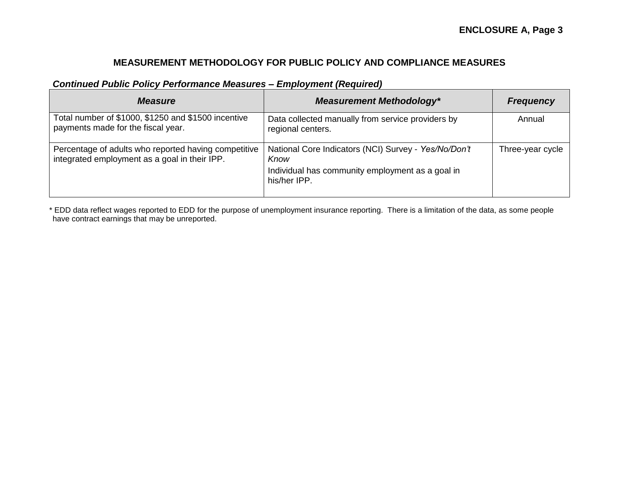### *Continued Public Policy Performance Measures – Employment (Required)*

| <b>Measure</b>                                                                                        | <b>Measurement Methodology*</b>                                                                                                  | <b>Frequency</b> |
|-------------------------------------------------------------------------------------------------------|----------------------------------------------------------------------------------------------------------------------------------|------------------|
| Total number of \$1000, \$1250 and \$1500 incentive<br>payments made for the fiscal year.             | Data collected manually from service providers by<br>regional centers.                                                           | Annual           |
| Percentage of adults who reported having competitive<br>integrated employment as a goal in their IPP. | National Core Indicators (NCI) Survey - Yes/No/Don't<br>Know<br>Individual has community employment as a goal in<br>his/her IPP. | Three-year cycle |

 \* EDD data reflect wages reported to EDD for the purpose of unemployment insurance reporting. There is a limitation of the data, as some people have contract earnings that may be unreported.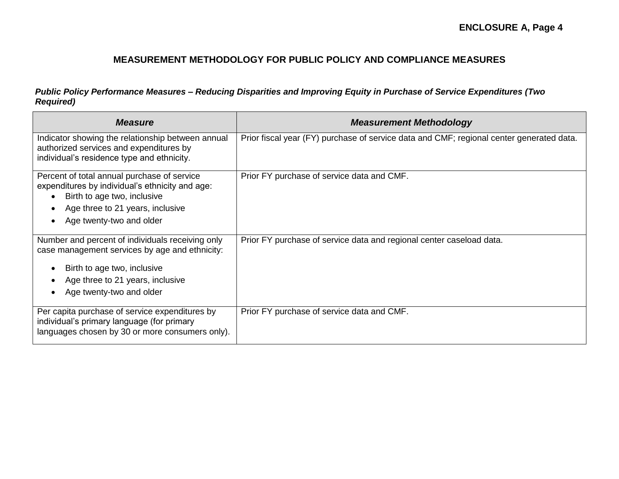#### *Public Policy Performance Measures – Reducing Disparities and Improving Equity in Purchase of Service Expenditures (Two Required)*

| <b>Measure</b>                                                                                                                                                                                    | <b>Measurement Methodology</b>                                                           |
|---------------------------------------------------------------------------------------------------------------------------------------------------------------------------------------------------|------------------------------------------------------------------------------------------|
| Indicator showing the relationship between annual<br>authorized services and expenditures by<br>individual's residence type and ethnicity.                                                        | Prior fiscal year (FY) purchase of service data and CMF; regional center generated data. |
| Percent of total annual purchase of service<br>expenditures by individual's ethnicity and age:<br>Birth to age two, inclusive<br>Age three to 21 years, inclusive<br>Age twenty-two and older     | Prior FY purchase of service data and CMF.                                               |
| Number and percent of individuals receiving only<br>case management services by age and ethnicity:<br>Birth to age two, inclusive<br>Age three to 21 years, inclusive<br>Age twenty-two and older | Prior FY purchase of service data and regional center caseload data.                     |
| Per capita purchase of service expenditures by<br>individual's primary language (for primary<br>languages chosen by 30 or more consumers only).                                                   | Prior FY purchase of service data and CMF.                                               |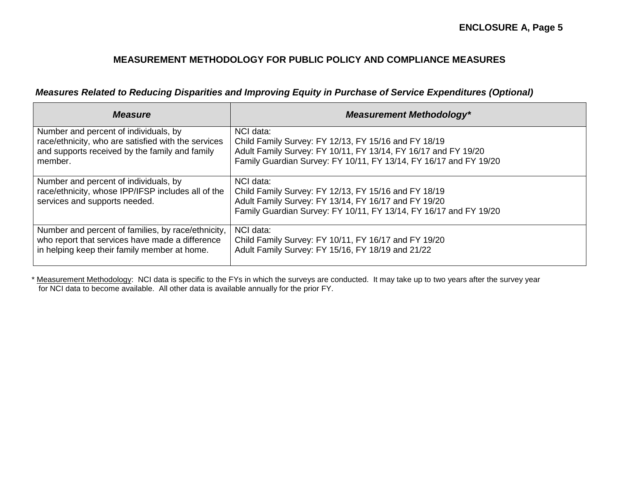*Measures Related to Reducing Disparities and Improving Equity in Purchase of Service Expenditures (Optional)* 

| <b>Measure</b>                                                                                                               | <b>Measurement Methodology*</b>                                                                                                                                                                |
|------------------------------------------------------------------------------------------------------------------------------|------------------------------------------------------------------------------------------------------------------------------------------------------------------------------------------------|
| Number and percent of individuals, by                                                                                        | NCI data:                                                                                                                                                                                      |
| race/ethnicity, who are satisfied with the services                                                                          | Child Family Survey: FY 12/13, FY 15/16 and FY 18/19                                                                                                                                           |
| and supports received by the family and family                                                                               | Adult Family Survey: FY 10/11, FY 13/14, FY 16/17 and FY 19/20                                                                                                                                 |
| member.                                                                                                                      | Family Guardian Survey: FY 10/11, FY 13/14, FY 16/17 and FY 19/20                                                                                                                              |
| Number and percent of individuals, by<br>race/ethnicity, whose IPP/IFSP includes all of the<br>services and supports needed. | NCI data:<br>Child Family Survey: FY 12/13, FY 15/16 and FY 18/19<br>Adult Family Survey: FY 13/14, FY 16/17 and FY 19/20<br>Family Guardian Survey: FY 10/11, FY 13/14, FY 16/17 and FY 19/20 |
| Number and percent of families, by race/ethnicity,                                                                           | NCI data:                                                                                                                                                                                      |
| who report that services have made a difference                                                                              | Child Family Survey: FY 10/11, FY 16/17 and FY 19/20                                                                                                                                           |
| in helping keep their family member at home.                                                                                 | Adult Family Survey: FY 15/16, FY 18/19 and 21/22                                                                                                                                              |

\* Measurement Methodology: NCI data is specific to the FYs in which the surveys are conducted. It may take up to two years after the survey year for NCI data to become available. All other data is available annually for the prior FY.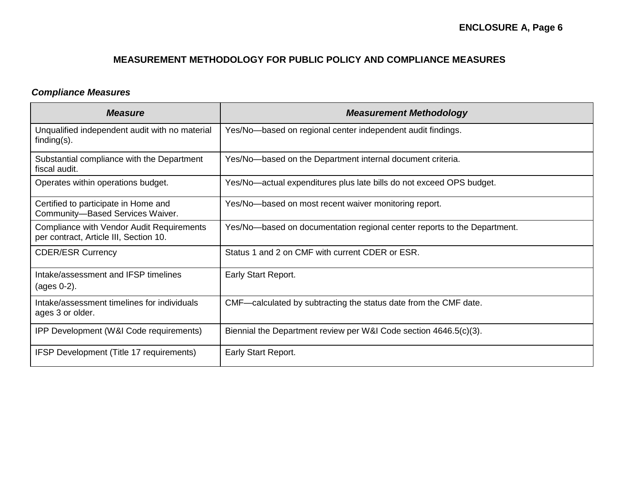### *Compliance Measures*

| <b>Measure</b>                                                                      | <b>Measurement Methodology</b>                                           |
|-------------------------------------------------------------------------------------|--------------------------------------------------------------------------|
| Unqualified independent audit with no material<br>finding $(s)$ .                   | Yes/No-based on regional center independent audit findings.              |
| Substantial compliance with the Department<br>fiscal audit.                         | Yes/No-based on the Department internal document criteria.               |
| Operates within operations budget.                                                  | Yes/No—actual expenditures plus late bills do not exceed OPS budget.     |
| Certified to participate in Home and<br>Community-Based Services Waiver.            | Yes/No—based on most recent waiver monitoring report.                    |
| Compliance with Vendor Audit Requirements<br>per contract, Article III, Section 10. | Yes/No—based on documentation regional center reports to the Department. |
| <b>CDER/ESR Currency</b>                                                            | Status 1 and 2 on CMF with current CDER or ESR.                          |
| Intake/assessment and IFSP timelines<br>(ages 0-2).                                 | Early Start Report.                                                      |
| Intake/assessment timelines for individuals<br>ages 3 or older.                     | CMF—calculated by subtracting the status date from the CMF date.         |
| IPP Development (W&I Code requirements)                                             | Biennial the Department review per W&I Code section 4646.5(c)(3).        |
| IFSP Development (Title 17 requirements)                                            | Early Start Report.                                                      |